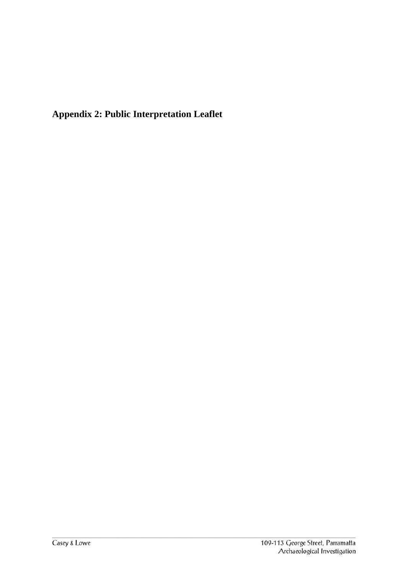**Appendix 2: Public Interpretation Leaflet**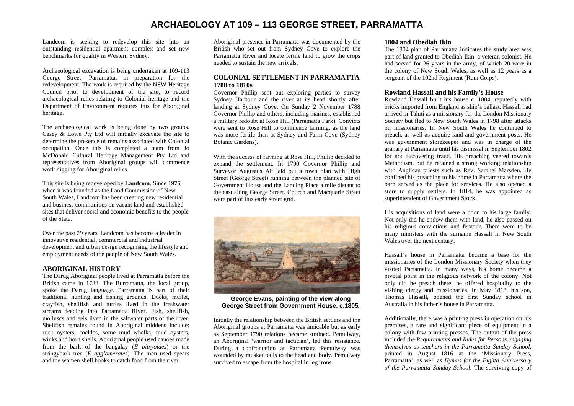# **ARCHAEOLOGY AT 109 – 113 GEORGE STREET, PARRAMATTA**

Landcom is seeking to redevelop this site into an outstanding residential apartment complex and set new benchmarks for quality in Western Sydney.

Archaeological excavation is being undertaken at 109-113 George Street, Parramatta, in preparation for the redevelopment. The work is required by the NSW Heritage Council prior to development of the site, to record archaeological relics relating to Colonial heritage and the Department of Environment requires this for Aboriginal heritage.

The archaeological work is being done by two groups. Casey & Lowe Pty Ltd will initially excavate the site to determine the presence of remains associated with Colonial occupation. Once this is completed a team from Jo McDonald Cultural Heritage Management Pty Ltd and representatives from Aboriginal groups will commence work digging for Aboriginal relics.

This site is being redeveloped by **Landcom**. Since 1975 when it was founded as the Land Commission of New South Wales, Landcom has been creating new residential and business communities on vacant land and established sites that deliver social and economic benefits to the people of the State.

Over the past 29 years, Landcom has become a leader in innovative residential, commercial and industrial development and urban design recognising the lifestyle and employment needs of the people of New South Wales.

# **ABORIGINAL HISTORY**

The Darug Aboriginal people lived at Parramatta before the British came in 1788. The Burramatta, the local group, spoke the Darug language. Parramatta is part of their traditional hunting and fishing grounds. Ducks, mullet, crayfish, shellfish and turtles lived in the freshwater streams feeding into Parramatta River. Fish, shellfish, molluscs and eels lived in the saltwater parts of the river. Shellfish remains found in Aboriginal middens include: rock oysters, cockles, some mud whelks, mud oysters, winks and horn shells. Aboriginal people used canoes made from the bark of the bangalay (*E bitryoides*) or the stringybark tree (*E agglomerates*). The men used spears and the women shell hooks to catch food from the river.

Aboriginal presence in Parramatta was documented by the British who set out from Sydney Cove to explore the Parramatta River and locate fertile land to grow the crops needed to sustain the new arrivals.

# **COLONIAL SETTLEMENT IN PARRAMATTA 1788 to 1810s**

Governor Phillip sent out exploring parties to survey Sydney Harbour and the river at its head shortly after landing at Sydney Cove. On Sunday 2 November 1788 Governor Phillip and others, including marines, established a military redoubt at Rose Hill (Parramatta Park). Convicts were sent to Rose Hill to commence farming, as the land was more fertile than at Sydney and Farm Cove (Sydney Botanic Gardens).

With the success of farming at Rose Hill, Phillip decided to expand the settlement. In 1790 Governor Phillip and Surveyor Augustus Alt laid out a town plan with High Street (George Street) running between the planned site of Government House and the Landing Place a mile distant to the east along George Street. Church and Macquarie Street were part of this early street grid.



**George Evans, painting of the view along George Street from Government House, c.1805***.* 

Initially the relationship between the British settlers and the Aboriginal groups at Parramatta was amicable but as early as September 1790 relations became strained. Pemulway, an Aboriginal 'warrior and tactician', led this resistance. During a confrontation at Parramatta Pemulway was wounded by musket balls to the head and body. Pemulway survived to escape from the hospital in leg irons.

#### **1804 and Obediah Ikin**

The 1804 plan of Parramatta indicates the study area was part of land granted to Obediah Ikin, a veteran colonist. He had served for 26 years in the army, of which 20 were in the colony of New South Wales, as well as 12 years as a sergeant of the 102nd Regiment (Rum Corps).

#### **Rowland Hassall and his Family's House**

Rowland Hassall built his house c. 1804, reputedly with bricks imported from England as ship's ballast. Hassall had arrived in Tahiti as a missionary for the London Missionary Society but fled to New South Wales in 1798 after attacks on missionaries. In New South Wales he continued to preach, as well as acquire land and government posts. He was government storekeeper and was in charge of the granary at Parramatta until his dismissal in September 1802 for not discovering fraud. His preaching veered towards Methodism, but he retained a strong working relationship with Anglican priests such as Rev. Samuel Marsden. He confined his preaching to his home in Parramatta where the barn served as the place for services. He also opened a store to supply settlers. In 1814, he was appointed as superintendent of Government Stock.

His acquisitions of land were a boon to his large family. Not only did he endow them with land, he also passed on his religious convictions and fervour. There were to be many ministers with the surname Hassall in New South Wales over the next century.

Hassall's house in Parramatta became a base for the missionaries of the London Missionary Society when they visited Parramatta. In many ways, his home became a pivotal point in the religious network of the colony. Not only did he preach there, he offered hospitality to the visiting clergy and missionaries. In May 1813, his son, Thomas Hassall, opened the first Sunday school in Australia in his father's house in Parramatta.

Additionally, there was a printing press in operation on his premises, a rare and significant piece of equipment in a colony with few printing presses. The output of the press included the *Requirements and Rules for Persons engaging themselves as teachers in the Parramatta Sunday School*, printed in August 1816 at the 'Missionary Press, Parramatta', as well as *Hymns for the Eighth Anniversary of the Parramatta Sunday School*. The surviving copy of